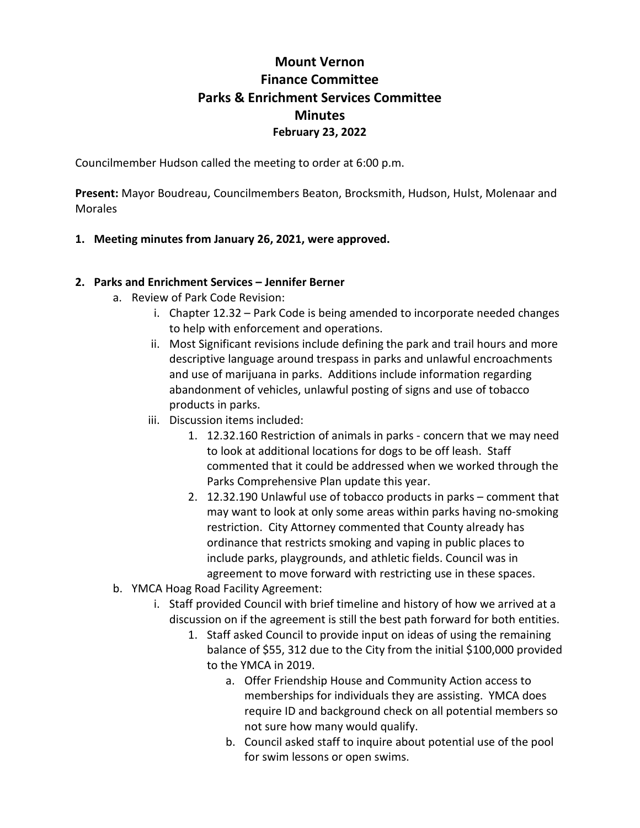# **Mount Vernon Finance Committee Parks & Enrichment Services Committee Minutes February 23, 2022**

Councilmember Hudson called the meeting to order at 6:00 p.m.

**Present:** Mayor Boudreau, Councilmembers Beaton, Brocksmith, Hudson, Hulst, Molenaar and Morales

#### **1. Meeting minutes from January 26, 2021, were approved.**

#### **2. Parks and Enrichment Services – Jennifer Berner**

- a. Review of Park Code Revision:
	- i. Chapter 12.32 Park Code is being amended to incorporate needed changes to help with enforcement and operations.
	- ii. Most Significant revisions include defining the park and trail hours and more descriptive language around trespass in parks and unlawful encroachments and use of marijuana in parks. Additions include information regarding abandonment of vehicles, unlawful posting of signs and use of tobacco products in parks.
	- iii. Discussion items included:
		- 1. 12.32.160 Restriction of animals in parks concern that we may need to look at additional locations for dogs to be off leash. Staff commented that it could be addressed when we worked through the Parks Comprehensive Plan update this year.
		- 2. 12.32.190 Unlawful use of tobacco products in parks comment that may want to look at only some areas within parks having no-smoking restriction. City Attorney commented that County already has ordinance that restricts smoking and vaping in public places to include parks, playgrounds, and athletic fields. Council was in agreement to move forward with restricting use in these spaces.
- b. YMCA Hoag Road Facility Agreement:
	- i. Staff provided Council with brief timeline and history of how we arrived at a discussion on if the agreement is still the best path forward for both entities.
		- 1. Staff asked Council to provide input on ideas of using the remaining balance of \$55, 312 due to the City from the initial \$100,000 provided to the YMCA in 2019.
			- a. Offer Friendship House and Community Action access to memberships for individuals they are assisting. YMCA does require ID and background check on all potential members so not sure how many would qualify.
			- b. Council asked staff to inquire about potential use of the pool for swim lessons or open swims.